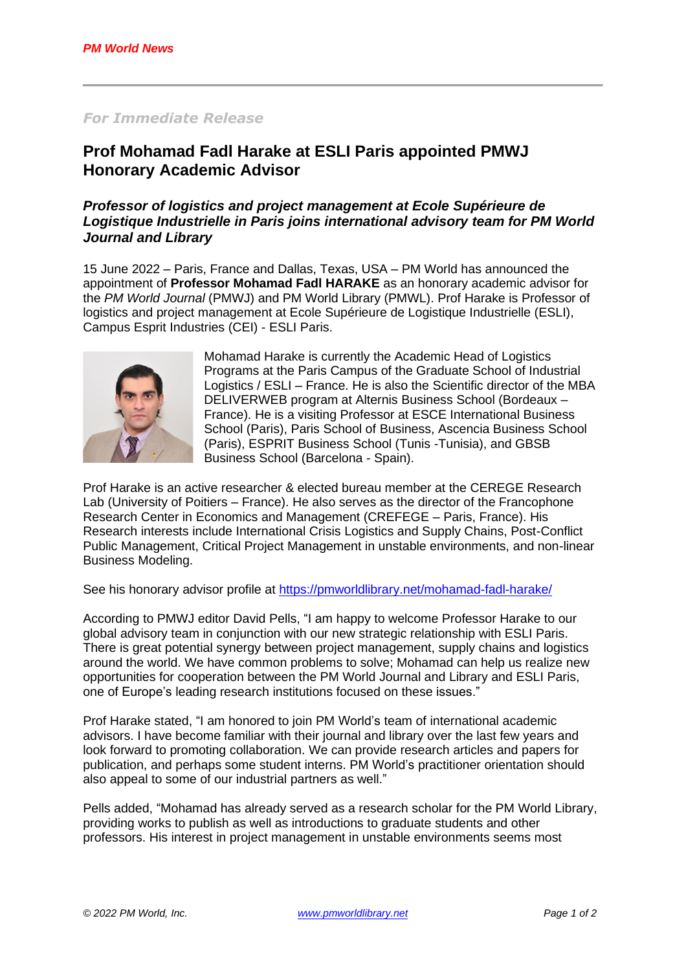### *For Immediate Release*

# **Prof Mohamad Fadl Harake at ESLI Paris appointed PMWJ Honorary Academic Advisor**

## *Professor of logistics and project management at Ecole Supérieure de Logistique Industrielle in Paris joins international advisory team for PM World Journal and Library*

15 June 2022 – Paris, France and Dallas, Texas, USA – PM World has announced the appointment of **Professor Mohamad Fadl HARAKE** as an honorary academic advisor for the *PM World Journal* (PMWJ) and PM World Library (PMWL). Prof Harake is Professor of logistics and project management at Ecole Supérieure de Logistique Industrielle (ESLI), Campus Esprit Industries (CEI) - ESLI Paris.



Mohamad Harake is currently the Academic Head of Logistics Programs at the Paris Campus of the Graduate School of Industrial Logistics / ESLI – France. He is also the Scientific director of the MBA DELIVERWEB program at Alternis Business School (Bordeaux – France). He is a visiting Professor at ESCE International Business School (Paris), Paris School of Business, Ascencia Business School (Paris), ESPRIT Business School (Tunis -Tunisia), and GBSB Business School (Barcelona - Spain).

Prof Harake is an active researcher & elected bureau member at the CEREGE Research Lab (University of Poitiers – France). He also serves as the director of the Francophone Research Center in Economics and Management (CREFEGE – Paris, France). His Research interests include International Crisis Logistics and Supply Chains, Post-Conflict Public Management, Critical Project Management in unstable environments, and non-linear Business Modeling.

See his honorary advisor profile at <https://pmworldlibrary.net/mohamad-fadl-harake/>

According to PMWJ editor David Pells, "I am happy to welcome Professor Harake to our global advisory team in conjunction with our new strategic relationship with ESLI Paris. There is great potential synergy between project management, supply chains and logistics around the world. We have common problems to solve; Mohamad can help us realize new opportunities for cooperation between the PM World Journal and Library and ESLI Paris, one of Europe's leading research institutions focused on these issues."

Prof Harake stated, "I am honored to join PM World's team of international academic advisors. I have become familiar with their journal and library over the last few years and look forward to promoting collaboration. We can provide research articles and papers for publication, and perhaps some student interns. PM World's practitioner orientation should also appeal to some of our industrial partners as well."

Pells added, "Mohamad has already served as a research scholar for the PM World Library, providing works to publish as well as introductions to graduate students and other professors. His interest in project management in unstable environments seems most